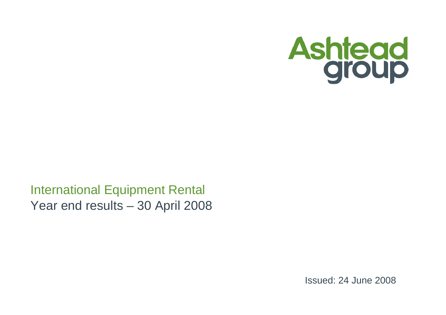

International Equipment Rental Year end results – 30 April 2008

Issued: 24 June 2008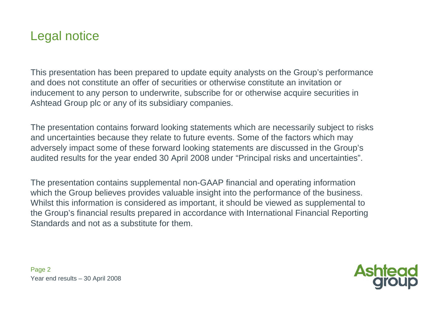### Legal notice

This presentation has been prepared to update equity analysts on the Group's performance and does not constitute an offer of securities or otherwise constitute an invitation or inducement to any person to underwrite, subscribe for or otherwise acquire securities in Ashtead Group plc or any of its subsidiary companies.

The presentation contains forward looking statements which are necessarily subject to risks and uncertainties because they relate to future events. Some of the factors which may adversely impact some of these forward looking statements are discussed in the Group's audited results for the year ended 30 April 2008 under "Principal risks and uncertainties".

The presentation contains supplemental non-GAAP financial and operating information which the Group believes provides valuable insight into the performance of the business. Whilst this information is considered as important, it should be viewed as supplemental to the Group's financial results prepared in accordance with International Financial Reporting Standards and not as a substitute for them.

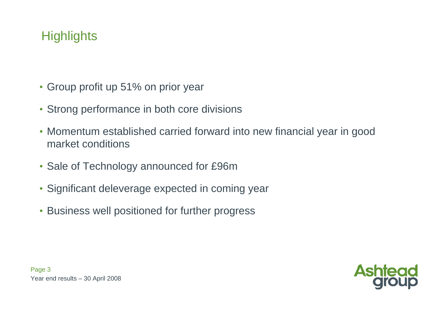# **Highlights**

- Group profit up 51% on prior year
- Strong performance in both core divisions
- Momentum established carried forward into new financial year in good market conditions
- Sale of Technology announced for £96m
- Significant deleverage expected in coming year
- Business well positioned for further progress

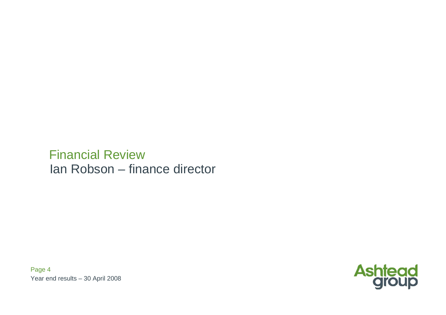# Financial ReviewIan Robson – finance director

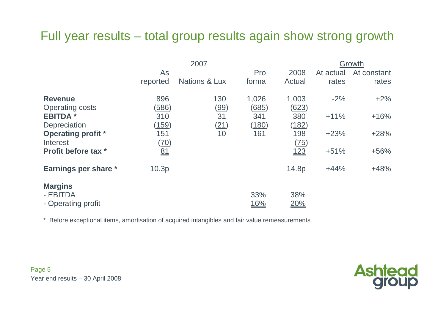# Full year results – total group results again show strong growth

|                                                  |                     | 2007                     |                       |                       | Growth    |             |
|--------------------------------------------------|---------------------|--------------------------|-----------------------|-----------------------|-----------|-------------|
|                                                  | As                  |                          | Pro                   | 2008                  | At actual | At constant |
|                                                  | reported            | <b>Nations &amp; Lux</b> | forma                 | Actual                | rates     | rates       |
| <b>Revenue</b><br><b>Operating costs</b>         | 896<br><u>(586)</u> | 130<br><u>(99)</u>       | 1,026<br><u>(685)</u> | 1,003<br><u>(623)</u> | $-2%$     | $+2\%$      |
| <b>EBITDA*</b><br>Depreciation                   | 310<br>(159)        | 31<br><u>(21)</u>        | 341<br><u>(180)</u>   | 380<br><u>(182)</u>   | $+11%$    | $+16%$      |
| <b>Operating profit</b> *<br>Interest            | 151<br>(70)         | 10                       | <u>161</u>            | 198<br>(75)           | $+23%$    | $+28%$      |
| <b>Profit before tax *</b>                       | 81                  |                          |                       | 123                   | $+51%$    | $+56%$      |
| Earnings per share *                             | 10.3p               |                          |                       | <u>14.8p</u>          | $+44%$    | $+48%$      |
| <b>Margins</b><br>- EBITDA<br>- Operating profit |                     |                          | 33%<br><u>16%</u>     | 38%<br>20%            |           |             |

\* Before exceptional items, amortisation of acquired intangibles and fair value remeasurements

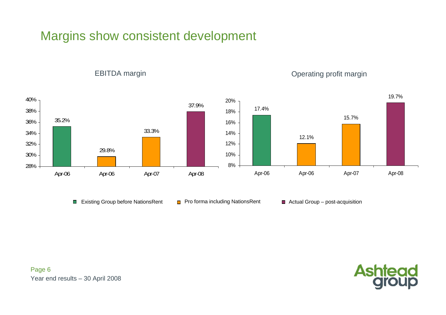# Margins show consistent development



EBITDA margin **EBITDA** margin

■ Existing Group before NationsRent ■ Pro forma including NationsRent ■ Actual Group – post-acquisition

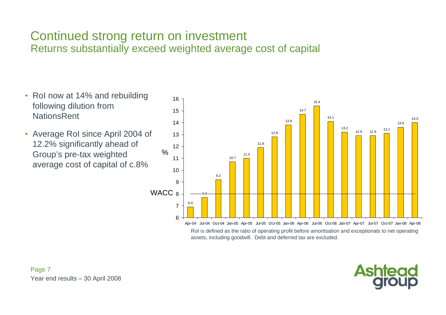#### Continued strong return on investment Returns substantially exceed weighted average cost of capital

• RoI now at 14% and rebuilding following dilution from **NationsRent** • Average RoI since April 2004 of 12.2% significantly ahead of Group's pre-tax weighted average cost of capital of c.8% 6.97.79.210.711.011.912.813.8 14.715.414.1 13.2 12.9 12.9 13.1 13.614.067WACC  $_{\rm 8}$ 9101112131415 $16 -$ Apr-04 Jul-04 Oct-04 Jan-05 Apr-05 Jul-05 Oct-05 Jan-06 Apr-06 Jul-06 Oct-06 Jan-07 Apr-07 Jul-07 Oct-07 Jan-08 Apr-08 RoI is defined as the ratio of operating profit before amortisation and exceptionals to net operating assets, including goodwill. Debt and deferred tax are excluded.  $\frac{0}{0}$ 

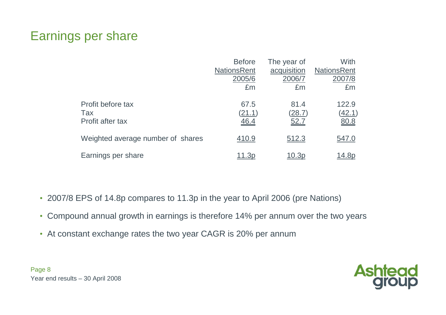# Earnings per share

|                                   | <b>Before</b>      | The year of | With               |
|-----------------------------------|--------------------|-------------|--------------------|
|                                   | <b>NationsRent</b> | acquisition | <b>NationsRent</b> |
|                                   | 2005/6             | 2006/7      | 2007/8             |
|                                   | £m                 | £m          | £m                 |
| Profit before tax                 | 67.5               | 81.4        | 122.9              |
| Tax                               | (21.1)             | (28.7)      | <u>(42.1)</u>      |
| Profit after tax                  | 46.4               | 52.7        | 80.8               |
| Weighted average number of shares | 410.9              | 512.3       | <u>547.0</u>       |
| Earnings per share                |                    |             | <u> 14.8p</u>      |

- 2007/8 EPS of 14.8p compares to 11.3p in the year to April 2006 (pre Nations)
- •Compound annual growth in earnings is therefore 14% per annum over the two years
- At constant exchange rates the two year CAGR is 20% per annum

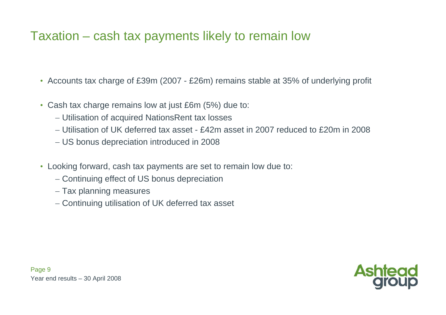# Taxation – cash tax payments likely to remain low

- Accounts tax charge of £39m (2007 £26m) remains stable at 35% of underlying profit
- • Cash tax charge remains low at just £6m (5%) due to:
	- − Utilisation of acquired NationsRent tax losses
	- − Utilisation of UK deferred tax asset £42m asset in 2007 reduced to £20m in 2008
	- − US bonus depreciation introduced in 2008
- Looking forward, cash tax payments are set to remain low due to:
	- − Continuing effect of US bonus depreciation
	- − Tax planning measures
	- − Continuing utilisation of UK deferred tax asset

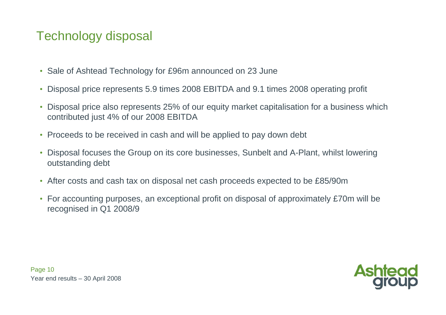# Technology disposal

- $\bullet$ Sale of Ashtead Technology for £96m announced on 23 June
- •Disposal price represents 5.9 times 2008 EBITDA and 9.1 times 2008 operating profit
- • Disposal price also represents 25% of our equity market capitalisation for a business which contributed just 4% of our 2008 EBITDA
- Proceeds to be received in cash and will be applied to pay down debt
- • Disposal focuses the Group on its core businesses, Sunbelt and A-Plant, whilst lowering outstanding debt
- •After costs and cash tax on disposal net cash proceeds expected to be £85/90m
- • For accounting purposes, an exceptional profit on disposal of approximately £70m will be recognised in Q1 2008/9

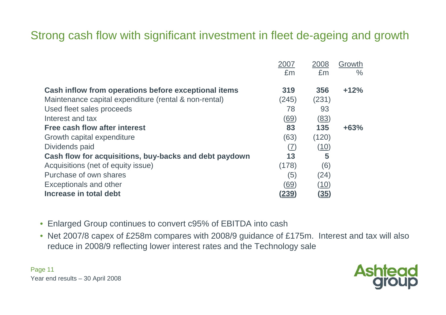# Strong cash flow with significant investment in fleet de-ageing and growth

|                                                        | 2007         | 2008        | Growth        |
|--------------------------------------------------------|--------------|-------------|---------------|
|                                                        | £m           | £m          | $\frac{0}{0}$ |
|                                                        |              |             |               |
| Cash inflow from operations before exceptional items   | 319          | 356         | $+12%$        |
| Maintenance capital expenditure (rental & non-rental)  | (245)        | (231)       |               |
| Used fleet sales proceeds                              | 78           | 93          |               |
| Interest and tax                                       | <u>(69)</u>  | (83)        |               |
| <b>Free cash flow after interest</b>                   | 83           | 135         | $+63%$        |
| Growth capital expenditure                             | (63)         | (120)       |               |
| Dividends paid                                         | (7)          | (10)        |               |
| Cash flow for acquisitions, buy-backs and debt paydown | 13           | 5           |               |
| Acquisitions (net of equity issue)                     | (178)        | (6)         |               |
| Purchase of own shares                                 | (5)          | (24)        |               |
| <b>Exceptionals and other</b>                          | (69)         | (10)        |               |
| Increase in total debt                                 | <u>(239)</u> | <u>(35)</u> |               |

- Enlarged Group continues to convert c95% of EBITDA into cash
- Net 2007/8 capex of £258m compares with 2008/9 guidance of £175m. Interest and tax will also reduce in 2008/9 reflecting lower interest rates and the Technology sale

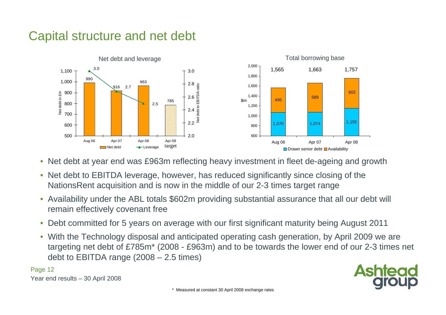# Capital structure and net debt



- $\bullet$ Net debt at year end was £963m reflecting heavy investment in fleet de-ageing and growth
- $\bullet$  Net debt to EBITDA leverage, however, has reduced significantly since closing of the NationsRent acquisition and is now in the middle of our 2-3 times target range
- $\bullet$  Availability under the ABL totals \$602m providing substantial assurance that all our debt will remain effectively covenant free
- $\bullet$ Debt committed for 5 years on average with our first significant maturity being August 2011
- $\bullet$  With the Technology disposal and anticipated operating cash generation, by April 2009 we are targeting net debt of £785m\* (2008 - £963m) and to be towards the lower end of our 2-3 times net debt to EBITDA range (2008 – 2.5 times)

Page 12

Year end results – 30 April 2008

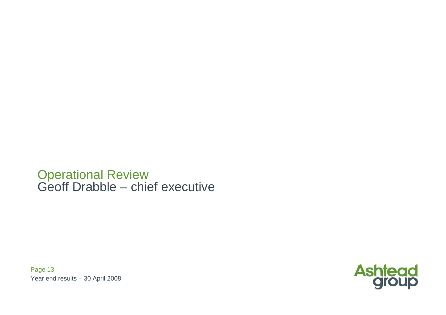Operational Review Geoff Drabble – chief executive

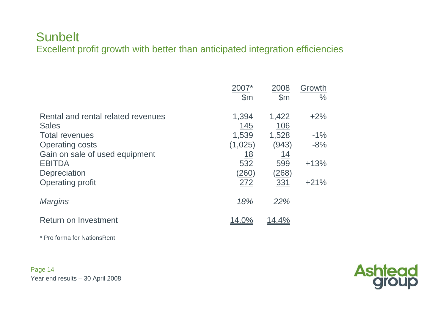#### **Sunbelt** Excellent profit growth with better than anticipated integration efficiencies

|                                                    | $\mathbb{S}$ m      | 2008<br>$\mathsf{S}$ m | Growth<br>$\frac{0}{0}$ |
|----------------------------------------------------|---------------------|------------------------|-------------------------|
| Rental and rental related revenues<br><b>Sales</b> | 1,394<br><u>145</u> | 1,422<br><u>106</u>    | $+2%$                   |
| <b>Total revenues</b>                              | 1,539               | 1,528                  | $-1%$                   |
| <b>Operating costs</b>                             | (1,025)             | (943)                  | $-8%$                   |
| Gain on sale of used equipment                     | <u> 18</u>          | <u> 14</u>             |                         |
| <b>EBITDA</b>                                      | 532                 | 599                    | $+13%$                  |
| Depreciation                                       | <u>(260)</u>        | <u>(268)</u>           |                         |
| <b>Operating profit</b>                            | 272                 | 331                    | $+21%$                  |
| <b>Margins</b>                                     | 18%                 | 22%                    |                         |
| <b>Return on Investment</b>                        | 14.0%               | 14.4%                  |                         |

\* Pro forma for NationsRent

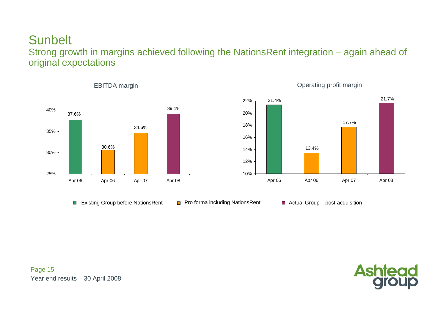#### **Sunbelt** Strong growth in margins achieved following the NationsRent integration – again ahead of original expectations





EBITDA margin **EBITDA** margin

- Existing Group before NationsRent  $\Box$  Pro forma including NationsRent  $\Box$  Actual Group post-acquisition
	-



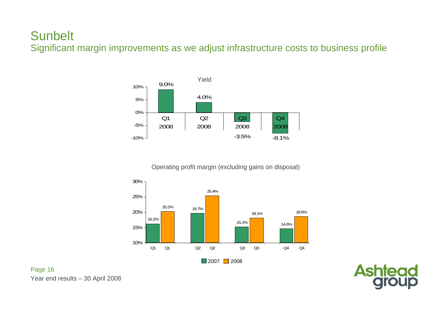Significant margin improvements as we adjust infrastructure costs to business profile



Operating profit margin (excluding gains on disposal)



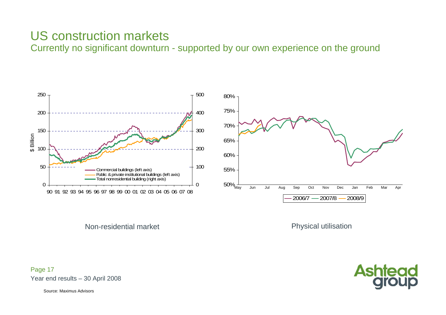# US construction markets

Currently no significant downturn - supported by our own experience on the ground



Non-residential market

Physical utilisation



Year end results – 30 April 2008 Page 17

Source: Maximus Advisors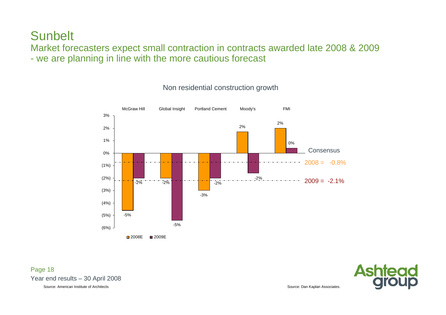Market forecasters expect small contraction in contracts awarded late 2008 & 2009 - we are planning in line with the more cautious forecast



#### Non residential construction growth

Year end results – 30 April 2008 Page 18 Source: American Institute of Architects

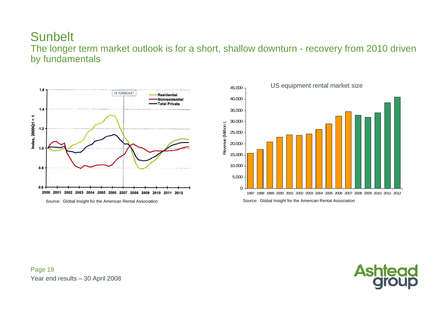The longer term market outlook is for a short, shallow downturn - recovery from 2010 driven by fundamentals





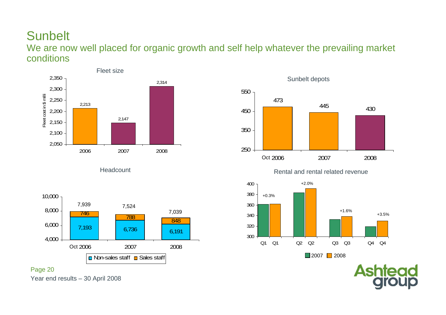We are now well placed for organic growth and self help whatever the prevailing market conditions

250

380 400 Oct 2006



**Headcount** 





Sunbelt depots



Rental and rental related revenue

2007 2008



2007 || 2008

**Ashtead** 



Year end results – 30 April 2008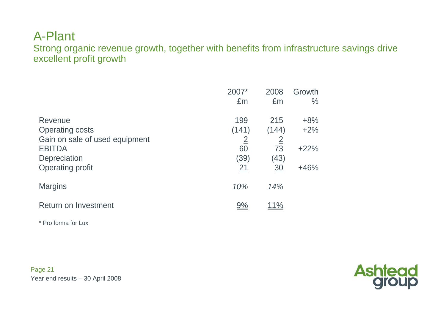#### A-Plant

Strong organic revenue growth, together with benefits from infrastructure savings drive excellent profit growth

|                                |                | 2008           | Growth        |
|--------------------------------|----------------|----------------|---------------|
|                                | £m             | £m             | $\frac{0}{0}$ |
| Revenue                        | 199            | 215            | $+8%$         |
| <b>Operating costs</b>         | (141)          | (144)          | $+2%$         |
| Gain on sale of used equipment | $\overline{2}$ | $\overline{2}$ |               |
| <b>EBITDA</b>                  | 60             | 73             | $+22%$        |
| Depreciation                   | <u>(39)</u>    | <u>(43)</u>    |               |
| <b>Operating profit</b>        | 21             | 30             | $+46%$        |
| <b>Margins</b>                 | 10%            | 14%            |               |
| <b>Return on Investment</b>    | <u>9%</u>      | <u> 11%</u>    |               |

\* Pro forma for Lux

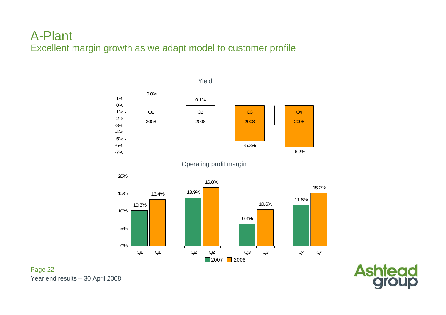#### A-Plant Excellent margin growth as we adapt model to customer profile



Year end results – 30 April 2008

Page 22

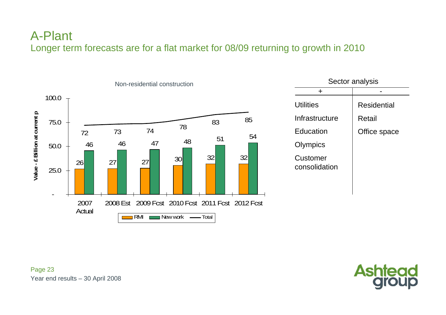#### A-Plant Longer term forecasts are for a flat market for 08/09 returning to growth in 2010



| ╋                         |                    |
|---------------------------|--------------------|
| <b>Utilities</b>          | <b>Residential</b> |
| Infrastructure            | Retail             |
| Education                 | Office space       |
| Olympics                  |                    |
| Customer<br>consolidation |                    |
|                           |                    |

Sector analysis

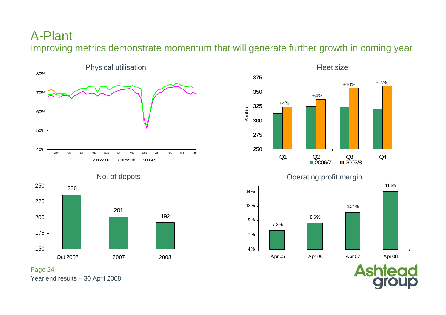#### A-Plant

Improving metrics demonstrate momentum that will generate further growth in coming year



14.1%

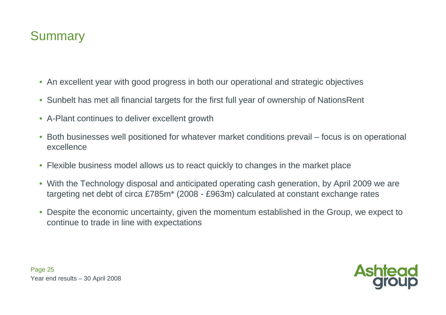# **Summary**

- An excellent year with good progress in both our operational and strategic objectives
- $\bullet$ Sunbelt has met all financial targets for the first full year of ownership of NationsRent
- A-Plant continues to deliver excellent growth
- $\bullet$  Both businesses well positioned for whatever market conditions prevail – focus is on operational excellence
- Flexible business model allows us to react quickly to changes in the market place
- $\bullet$  With the Technology disposal and anticipated operating cash generation, by April 2009 we are targeting net debt of circa £785m\* (2008 - £963m) calculated at constant exchange rates
- $\bullet$  Despite the economic uncertainty, given the momentum established in the Group, we expect to continue to trade in line with expectations

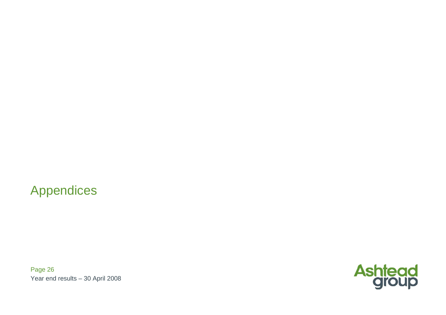Appendices

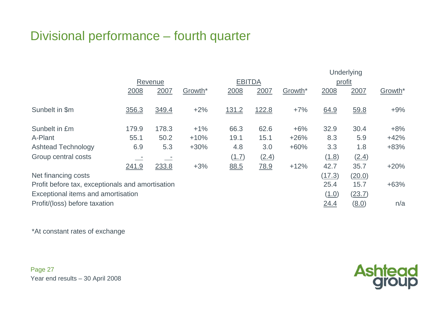# Divisional performance – fourth quarter

|                                                  |       |         |                     |               |             |         | <b>Underlying</b> |        |                     |  |  |  |
|--------------------------------------------------|-------|---------|---------------------|---------------|-------------|---------|-------------------|--------|---------------------|--|--|--|
|                                                  |       | Revenue |                     | <b>EBITDA</b> |             |         | profit            |        |                     |  |  |  |
|                                                  | 2008  | 2007    | Growth <sup>*</sup> | 2008          | 2007        | Growth* | 2008              | 2007   | Growth <sup>*</sup> |  |  |  |
|                                                  |       |         |                     |               |             |         |                   |        |                     |  |  |  |
| Sunbelt in \$m                                   | 356.3 | 349.4   | $+2%$               | <u>131.2</u>  | 122.8       | $+7%$   | 64.9              | 59.8   | $+9%$               |  |  |  |
|                                                  |       |         |                     |               |             |         |                   |        |                     |  |  |  |
| Sunbelt in £m                                    | 179.9 | 178.3   | $+1%$               | 66.3          | 62.6        | $+6%$   | 32.9              | 30.4   | $+8%$               |  |  |  |
| A-Plant                                          | 55.1  | 50.2    | $+10%$              | 19.1          | 15.1        | $+26%$  | 8.3               | 5.9    | $+42%$              |  |  |  |
| <b>Ashtead Technology</b>                        | 6.9   | 5.3     | $+30%$              | 4.8           | 3.0         | $+60%$  | 3.3               | 1.8    | $+83%$              |  |  |  |
| Group central costs                              |       |         |                     | (1.7)         | (2.4)       |         | (1.8)             | (2.4)  |                     |  |  |  |
|                                                  | 241.9 | 233.8   | $+3%$               | 88.5          | <u>78.9</u> | $+12%$  | 42.7              | 35.7   | $+20%$              |  |  |  |
| Net financing costs                              |       |         |                     |               |             |         | (17.3)            | (20.0) |                     |  |  |  |
| Profit before tax, exceptionals and amortisation |       |         |                     |               |             |         | 25.4              | 15.7   | $+63%$              |  |  |  |
| Exceptional items and amortisation               |       |         |                     |               |             |         | (1.0)             | (23.7) |                     |  |  |  |
| Profit/(loss) before taxation                    |       |         |                     |               |             |         | <u>24.4</u>       | (8.0)  | n/a                 |  |  |  |

\*At constant rates of exchange

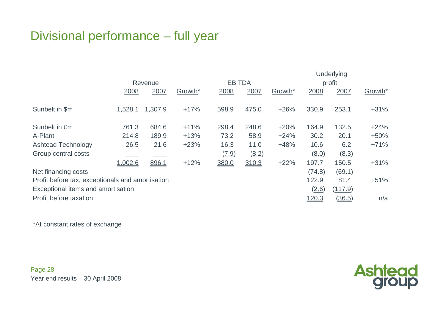# Divisional performance – full year

|                                                  | Underlying |         |         |               |       |                     |              |         |                     |  |
|--------------------------------------------------|------------|---------|---------|---------------|-------|---------------------|--------------|---------|---------------------|--|
|                                                  |            | Revenue |         | <b>EBITDA</b> |       |                     | profit       |         |                     |  |
|                                                  | 2008       | 2007    | Growth* | 2008          | 2007  | Growth <sup>*</sup> | 2008         | 2007    | Growth <sup>*</sup> |  |
|                                                  |            |         |         |               |       |                     |              |         |                     |  |
| Sunbelt in \$m                                   | 1,528.1    | 1,307.9 | $+17%$  | 598.9         | 475.0 | $+26%$              | 330.9        | 253.1   | $+31%$              |  |
|                                                  |            |         |         |               |       |                     |              |         |                     |  |
| Sunbelt in £m                                    | 761.3      | 684.6   | $+11%$  | 298.4         | 248.6 | $+20%$              | 164.9        | 132.5   | $+24%$              |  |
| A-Plant                                          | 214.8      | 189.9   | $+13%$  | 73.2          | 58.9  | $+24%$              | 30.2         | 20.1    | $+50%$              |  |
| <b>Ashtead Technology</b>                        | 26.5       | 21.6    | $+23%$  | 16.3          | 11.0  | $+48%$              | 10.6         | 6.2     | $+71%$              |  |
| Group central costs                              |            |         |         | (7.9)         | (8.2) |                     | (8.0)        | (8.3)   |                     |  |
|                                                  | 1,002.6    | 896.1   | $+12%$  | 380.0         | 310.3 | $+22%$              | 197.7        | 150.5   | $+31%$              |  |
| Net financing costs                              |            |         |         |               |       |                     | (74.8)       | (69.1)  |                     |  |
| Profit before tax, exceptionals and amortisation |            |         |         |               |       |                     | 122.9        | 81.4    | $+51%$              |  |
| Exceptional items and amortisation               |            |         |         |               |       |                     | (2.6)        | (117.9) |                     |  |
| Profit before taxation                           |            |         |         |               |       |                     | <u>120.3</u> | (36.5)  | n/a                 |  |

\*At constant rates of exchange

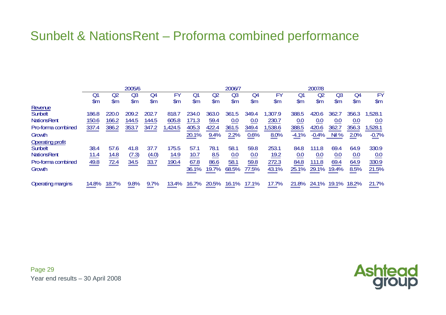# Sunbelt & NationsRent – Proforma combined performance

|                          | 2005/6        |               |               |       |        | 2006/7        |               |       |               |        | 2007/8        |               |            |               |               |
|--------------------------|---------------|---------------|---------------|-------|--------|---------------|---------------|-------|---------------|--------|---------------|---------------|------------|---------------|---------------|
|                          | O۱            | Q2            | Œ             | Q4    | FY     | Q1            | Q2            | Q3    | Q4            | FY     | Q1            | Q2            | $\Omega$   | Q4            | FY            |
|                          | $\mathsf{Sm}$ | $\mathsf{Sm}$ | $\mathsf{Sm}$ | \$m   | \$m    | $\mathsf{Sm}$ | $\mathsf{Sm}$ | \$m   | $\mathsf{Sm}$ | \$m    | $\mathsf{Sm}$ | $\mathsf{Sm}$ | \$m        | $\mathsf{Sm}$ | $\mathsf{Sm}$ |
| Revenue                  |               |               |               |       |        |               |               |       |               |        |               |               |            |               |               |
| Sunbelt                  | 186.8         | 220.0         | 209.2         | 202.7 | 818.7  | 234.0         | 363.0         | 361.5 | 349.4         | ,307.9 | 388.5         | 420.6         | 362.7      | 356.3         | 1.528.1       |
| <b>NationsRent</b>       | 150.6         | 166.2         | 144.5         | 144.5 | 605.8  | 171.3         | 59.4          | 0.0   | 0.0           | 230.7  | 0.0           | 0.0           | 0.0        | 0.0           | 0.0           |
| Pro-forma combined       | 337.4         | 386.2         | 353.7         | 347.2 | ,424.5 | 405.3         | 422.4         | 361.5 | 349.4         | ,538.6 | 388.5         | 420.6         | 362.7      | 356.3         | 1,528.1       |
| Growth                   |               |               |               |       |        | 20.1%         | 9.4%          | 2.2%  | 0.6%          | 8.0%   | $-4.1%$       | $-0.4%$       | <b>NI%</b> | 2.0%          | $-0.7%$       |
| <b>Operating profit</b>  |               |               |               |       |        |               |               |       |               |        |               |               |            |               |               |
| Sunbelt                  | 38.4          | 57.6          | 41.8          | 37.7  | 175.5  | 57.1          | 78.1          | 58.1  | 59.8          | 253.1  | 84.8          | 111.8         | 69.4       | 64.9          | 330.9         |
| <b>NationsRent</b>       | 11.4          | 14.8          | (7.3)         | (4.0) | 14.9   | 10.7          | 8.5           | 0.0   | 0.0           | 19.2   | 0.0           | 0.0           | 0.0        | 0.0           | 0.0           |
| Pro-forma combined       | 49.8          | 72.4          | 34.5          | 33.7  | 190.4  | 67.8          | 86.6          | 58.1  | 59.8          | 272.3  | 84.8          | 111.8         | 69.4       | 64.9          | 330.9         |
| Growth                   |               |               |               |       |        | 36.1%         | 19.7%         | 68.5% | 77.5%         | 43.1%  | 25.1%         | 29.1%         | 19.4%      | 8.5%          | 21.5%         |
| <b>Operating margins</b> | 14.8%         | 18.7%         | 9.8%          | 9.7%  | 13.4%  | 16.7%         | 20.5%         | 16.1% | 17.1%         | 17.7%  | 21.8%         | 24.1%         | 19.1%      | 18.2%         | 21.7%<br>____ |